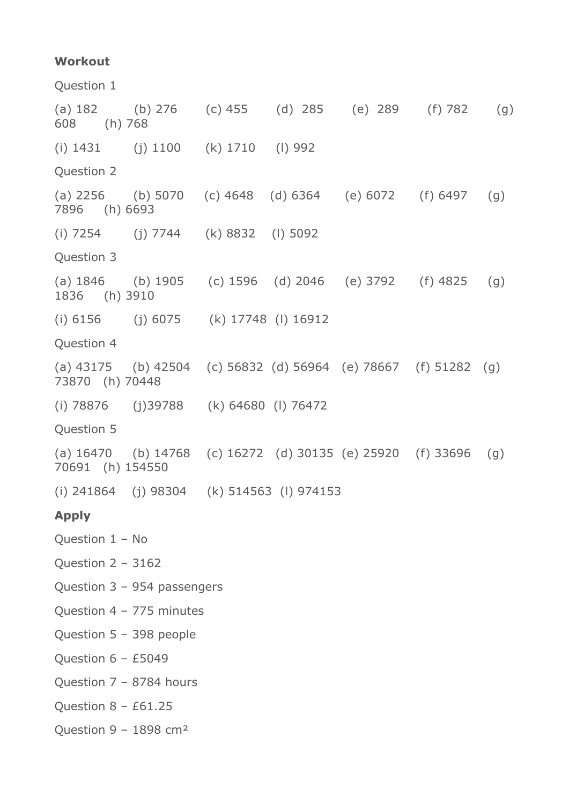## **Workout**

Question 1 (a) 182 (b) 276 (c) 455 (d) 285 (e) 289 (f) 782 (g) 608 (h) 768 (i) 1431 (j) 1100 (k) 1710 (l) 992 Question 2 (a) 2256 (b) 5070 (c) 4648 (d) 6364 (e) 6072 (f) 6497 (g) 7896 (h) 6693 (i) 7254 (j) 7744 (k) 8832 (l) 5092 Question 3 (a) 1846 (b) 1905 (c) 1596 (d) 2046 (e) 3792 (f) 4825 (g) 1836 (h) 3910 (i) 6156 (j) 6075 (k) 17748 (l) 16912 Question 4 (a) 43175 (b) 42504 (c) 56832 (d) 56964 (e) 78667 (f) 51282 (g) 73870 (h) 70448 (i) 78876 (j)39788 (k) 64680 (l) 76472 Question 5 (a) 16470 (b) 14768 (c) 16272 (d) 30135 (e) 25920 (f) 33696 (g) 70691 (h) 154550 (i) 241864 (j) 98304 (k) 514563 (l) 974153 **Apply** Question 1 – No Question 2 – 3162 Question 3 – 954 passengers Question 4 – 775 minutes Question 5 – 398 people Question  $6 - £5049$ Question 7 – 8784 hours Ouestion  $8 - £61.25$ Question 9 – 1898 cm²